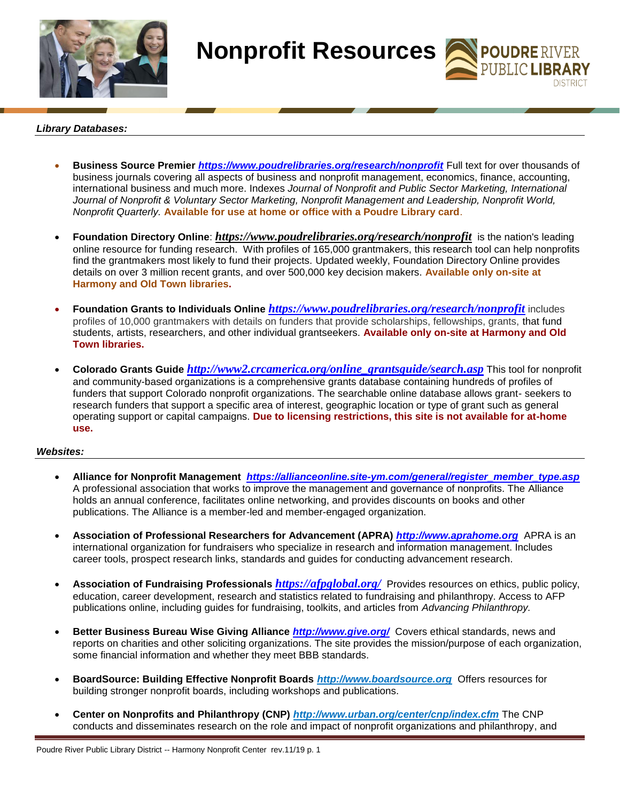

**Nonprofit Resources** 

**POUDRE RIVER**<br>PUBLIC **LIBRARY** 

## *Library Databases:*

- **Business Source Premier** *<https://www.poudrelibraries.org/research/nonprofit>* Full text for over thousands of business journals covering all aspects of business and nonprofit management, economics, finance, accounting, international business and much more. Indexes *Journal of Nonprofit and Public Sector Marketing, International Journal of Nonprofit & Voluntary Sector Marketing, Nonprofit Management and Leadership, Nonprofit World, Nonprofit Quarterly.* **Available for use at home or office with a Poudre Library card**.
- **Foundation Directory Online**: *<https://www.poudrelibraries.org/research/nonprofit>* is the nation's leading online resource for funding research. With profiles of 165,000 grantmakers, this research tool can help nonprofits find the grantmakers most likely to fund their projects. Updated weekly, Foundation Directory Online provides details on over 3 million recent grants, and over 500,000 key decision makers. **Available only on-site at Harmony and Old Town libraries.**
- **Foundation Grants to Individuals Online** *<https://www.poudrelibraries.org/research/nonprofit>* includes profiles of 10,000 grantmakers with details on funders that provide scholarships, fellowships, grants, that fund students, artists, researchers, and other individual grantseekers. **Available only on-site at Harmony and Old Town libraries.**
- **Colorado Grants Guide** *[http://www2.crcamerica.org/online\\_grantsguide/search.asp](http://www2.crcamerica.org/online_grantsguide/search.asp)* This tool for nonprofit and community-based organizations is a comprehensive grants database containing hundreds of profiles of funders that support Colorado nonprofit organizations. The searchable online database allows grant- seekers to research funders that support a specific area of interest, geographic location or type of grant such as general operating support or capital campaigns. **Due to licensing restrictions, this site is not available for at-home use.**

## *Websites:*

- **Alliance for Nonprofit Management** *[https://allianceonline.site-ym.com/general/register\\_member\\_type.asp](https://allianceonline.site-ym.com/general/register_member_type.asp)* A professional association that works to improve the management and governance of nonprofits. The Alliance holds an annual conference, facilitates online networking, and provides discounts on books and other publications. The Alliance is a member-led and member-engaged organization.
- **Association of Professional Researchers for Advancement (APRA)** *[http://www.aprahome.org](http://www.aprahome.org/)* APRA is an international organization for fundraisers who specialize in research and information management. Includes career tools, prospect research links, standards and guides for conducting advancement research.
- **Association of Fundraising Professionals** *<https://afpglobal.org/>* Provides resources on ethics, public policy, education, career development, research and statistics related to fundraising and philanthropy. Access to AFP publications online, including guides for fundraising, toolkits, and articles from *Advancing Philanthropy.*
- **Better Business Bureau Wise Giving Alliance** *<http://www.give.org/>* Covers ethical standards, news and reports on charities and other soliciting organizations. The site provides the mission/purpose of each organization, some financial information and whether they meet BBB standards.
- **BoardSource: Building Effective Nonprofit Boards** *[http://www.boardsource.org](http://www.boardsource.org/)* Offers resources for building stronger nonprofit boards, including workshops and publications.
- **Center on Nonprofits and Philanthropy (CNP)** *<http://www.urban.org/center/cnp/index.cfm>* The CNP conducts and disseminates research on the role and impact of nonprofit organizations and philanthropy, and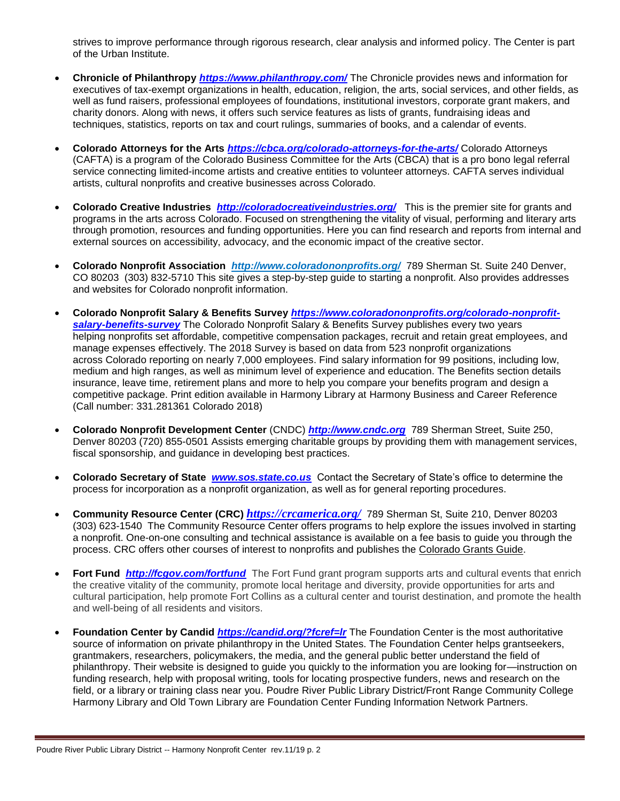strives to improve performance through rigorous research, clear analysis and informed policy. The Center is part of the Urban Institute.

- **Chronicle of Philanthropy** *<https://www.philanthropy.com/>* The Chronicle provides news and information for executives of tax-exempt organizations in health, education, religion, the arts, social services, and other fields, as well as fund raisers, professional employees of foundations, institutional investors, corporate grant makers, and charity donors. Along with news, it offers such service features as lists of grants, fundraising ideas and techniques, statistics, reports on tax and court rulings, summaries of books, and a calendar of events.
- **Colorado Attorneys for the Arts** *<https://cbca.org/colorado-attorneys-for-the-arts/>* Colorado Attorneys (CAFTA) is a program of the Colorado Business Committee for the Arts (CBCA) that is a pro bono legal referral service connecting limited-income artists and creative entities to volunteer attorneys. CAFTA serves individual artists, cultural nonprofits and creative businesses across Colorado.
- **Colorado Creative Industries** *<http://coloradocreativeindustries.org/>* This is the premier site for grants and programs in the arts across Colorado. Focused on strengthening the vitality of visual, performing and literary arts through promotion, resources and funding opportunities. Here you can find research and reports from internal and external sources on accessibility, advocacy, and the economic impact of the creative sector.
- **Colorado Nonprofit Association** *<http://www.coloradononprofits.org/>* 789 Sherman St. Suite 240 Denver, CO 80203 (303) 832-5710 This site gives a step-by-step guide to starting a nonprofit. Also provides addresses and websites for Colorado nonprofit information.
- **Colorado Nonprofit Salary & Benefits Survey** *[https://www.coloradononprofits.org/colorado-nonprofit](https://www.coloradononprofits.org/colorado-nonprofit-salary-benefits-survey)[salary-benefits-survey](https://www.coloradononprofits.org/colorado-nonprofit-salary-benefits-survey)* The Colorado Nonprofit Salary & Benefits Survey publishes every two years helping nonprofits set affordable, competitive compensation packages, recruit and retain great employees, and manage expenses effectively. The 2018 Survey is based on data from 523 nonprofit organizations across Colorado reporting on nearly 7,000 employees. Find salary information for 99 positions, including low, medium and high ranges, as well as minimum level of experience and education. The Benefits section details insurance, leave time, retirement plans and more to help you compare your benefits program and design a competitive package. Print edition available in Harmony Library at Harmony Business and Career Reference (Call number: 331.281361 Colorado 2018)
- **Colorado Nonprofit Development Center** (CNDC) *[http://www.cndc.org](http://www.cndc.org/)* 789 Sherman Street, Suite 250, Denver 80203 (720) 855-0501 Assists emerging charitable groups by providing them with management services, fiscal sponsorship, and guidance in developing best practices.
- **Colorado Secretary of State** *[www.sos.state.co.us](http://www.sos.state.co.us/)*Contact the Secretary of State's office to determine the process for incorporation as a nonprofit organization, as well as for general reporting procedures.
- **Community Resource Center (CRC)** *<https://crcamerica.org/>* 789 Sherman St, Suite 210, Denver 80203 (303) 623-1540 The Community Resource Center offers programs to help explore the issues involved in starting a nonprofit. One-on-one consulting and technical assistance is available on a fee basis to guide you through the process. CRC offers other courses of interest to nonprofits and publishes the Colorado Grants Guide.
- **Fort Fund** *<http://fcgov.com/fortfund>* The Fort Fund grant program supports arts and cultural events that enrich the creative vitality of the community, promote local heritage and diversity, provide opportunities for arts and cultural participation, help promote Fort Collins as a cultural center and tourist destination, and promote the health and well-being of all residents and visitors.
- **Foundation Center by Candid** *<https://candid.org/?fcref=lr>* The Foundation Center is the most authoritative source of information on private philanthropy in the United States. The Foundation Center helps grantseekers, grantmakers, researchers, policymakers, the media, and the general public better understand the field of philanthropy. Their website is designed to guide you quickly to the information you are looking for—instruction on funding research, help with proposal writing, tools for locating prospective funders, news and research on the field, or a library or training class near you. Poudre River Public Library District/Front Range Community College Harmony Library and Old Town Library are Foundation Center Funding Information Network Partners.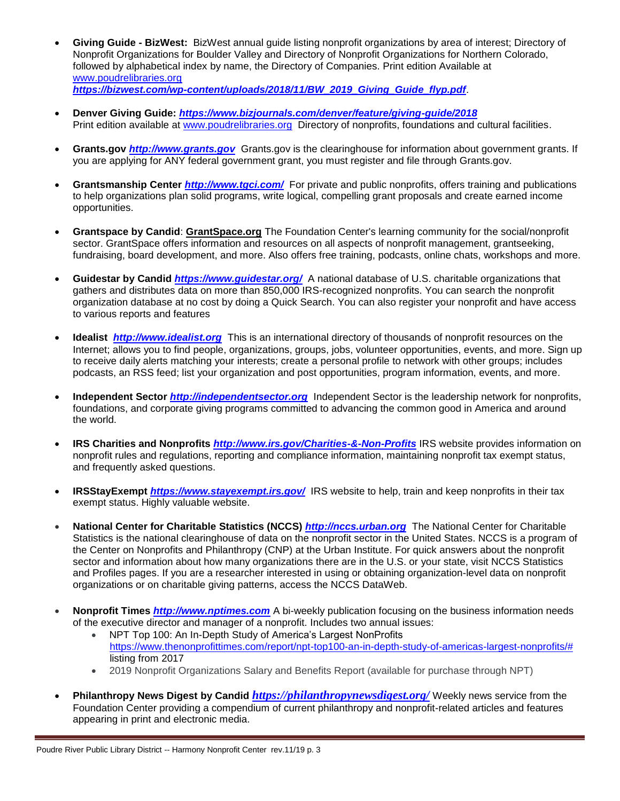- **Giving Guide - BizWest:** BizWest annual guide listing nonprofit organizations by area of interest; Directory of Nonprofit Organizations for Boulder Valley and Directory of Nonprofit Organizations for Northern Colorado, followed by alphabetical index by name, the Directory of Companies. Print edition Available at [www.poudrelibraries.org](http://www.poudrelibraries.org/) *[https://bizwest.com/wp-content/uploads/2018/11/BW\\_2019\\_Giving\\_Guide\\_flyp.pdf](https://bizwest.com/wp-content/uploads/2018/11/BW_2019_Giving_Guide_flyp.pdf)*.
- **Denver Giving Guide:** *<https://www.bizjournals.com/denver/feature/giving-guide/2018>* Print edition available at [www.poudrelibraries.org](http://www.poudrelibraries.org/) Directory of nonprofits, foundations and cultural facilities.
- **Grants.gov** *[http://www.grants.gov](http://www.grants.gov/)* Grants.gov is the clearinghouse for information about government grants. If you are applying for ANY federal government grant, you must register and file through Grants.gov.
- **Grantsmanship Center** *<http://www.tgci.com/>* For private and public nonprofits, offers training and publications to help organizations plan solid programs, write logical, compelling grant proposals and create earned income opportunities.
- **Grantspace by Candid**: **[GrantSpace.org](http://www.grantspace.org/)** The Foundation Center's learning community for the social/nonprofit sector. GrantSpace offers information and resources on all aspects of nonprofit management, grantseeking, fundraising, board development, and more. Also offers free training, podcasts, online chats, workshops and more.
- **Guidestar by Candid** *<https://www.guidestar.org/>* A national database of U.S. charitable organizations that gathers and distributes data on more than 850,000 IRS-recognized nonprofits. You can search the nonprofit organization database at no cost by doing a Quick Search. You can also register your nonprofit and have access to various reports and features
- **Idealist** *[http://www.idealist.org](http://www.idealist.org/)*This is an international directory of thousands of nonprofit resources on the Internet; allows you to find [people,](http://www.idealist.org/if/as/UserProfile) [organizations,](http://www.idealist.org/if/as/Org?type=NON_PROFIT_TYPE) [groups,](http://www.idealist.org/if/as/Org?type=IDEALIST_GROUP_TYPE) [jobs,](http://www.idealist.org/if/as/Job) [volunteer opportunities,](http://www.idealist.org/if/as/VolunteerOpportunity) [events,](http://www.idealist.org/if/as/Event) and [more.](http://www.idealist.org/if/as/Find) Sign up to [receive daily alerts](http://www.idealist.org/if/idealist/en/Mail/EmailAlerts/default) matching your interests; create a [personal profile](http://www.idealist.org/if/idealist/en/MyIdealist/Register/default) to network with other groups; includes [podcasts,](http://www.idealist.org/en/podcast/) an [RSS feed;](http://www.idealist.org/if/idealist/en/RSS/RSS/default) [list your organization a](http://www.idealist.org/if/idealist/en/Post/Simplified/default)nd [post opportunities, program information, events, and more.](http://www.idealist.org/if/idealist/en/Post/Simplified/default)
- **Independent Sector** *[http://independentsector.org](http://independentsector.org/)*Independent Sector is the leadership network for nonprofits, foundations, and corporate giving programs committed to advancing the common good in America and around the world.
- **IRS Charities and Nonprofits** *<http://www.irs.gov/Charities-&-Non-Profits>* IRS website provides information on nonprofit rules and regulations, reporting and compliance information, maintaining nonprofit tax exempt status, and frequently asked questions.
- **IRSStayExempt** *<https://www.stayexempt.irs.gov/>* IRS website to help, train and keep nonprofits in their tax exempt status. Highly valuable website.
- **National Center for Charitable Statistics (NCCS)** *[http://nccs.urban.org](http://nccs.urban.org/)* The National Center for Charitable Statistics is the national clearinghouse of data on the nonprofit sector in the United States. NCCS is a program of the Center on Nonprofits and Philanthropy (CNP) at the Urban Institute. For quick answers about the nonprofit sector and information about how many organizations there are in the U.S. or your state, visit NCCS Statistics and Profiles pages. If you are a researcher interested in using or obtaining organization-level data on nonprofit organizations or on charitable giving patterns, access the NCCS DataWeb.
- **Nonprofit Times** *[http://www.nptimes.com](http://www.nptimes.com/)* A bi-weekly publication focusing on the business information needs of the executive director and manager of a nonprofit. Includes two annual issues:
	- [NPT Top 100: An In-Depth Study of America's Largest NonProfits](https://www.thenonprofittimes.com/report/npt-top100-an-in-depth-study-of-americas-largest-nonprofits/) [https://www.thenonprofittimes.com/report/npt-top100-an-in-depth-study-of-americas-largest-nonprofits/#](https://www.thenonprofittimes.com/report/npt-top100-an-in-depth-study-of-americas-largest-nonprofits/)  listing from 2017
	- 2019 Nonprofit Organizations Salary and Benefits Report (available for purchase through NPT)
- **Philanthropy News Digest by Candid** *<https://philanthropynewsdigest.org/>* Weekly news service from the Foundation Center providing a compendium of current philanthropy and nonprofit-related articles and features appearing in print and electronic media.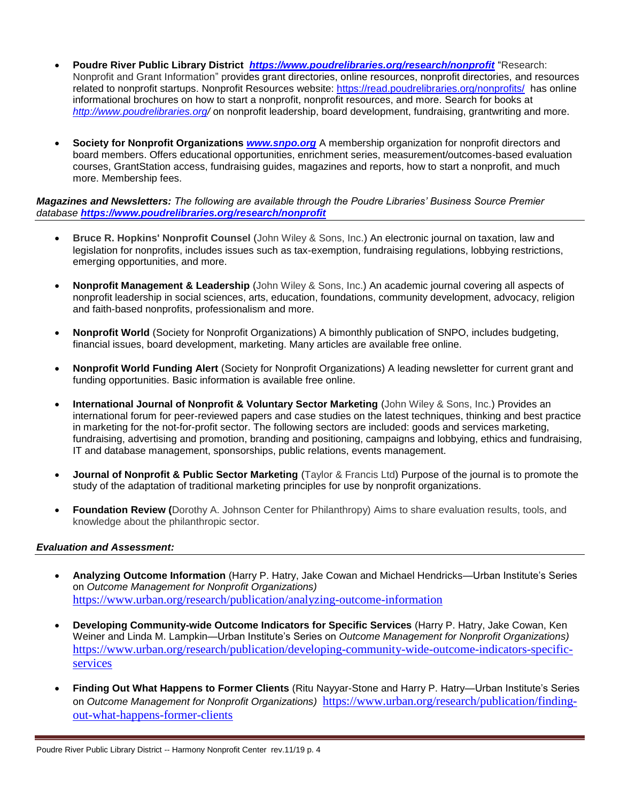- **Poudre River Public Library District** *<https://www.poudrelibraries.org/research/nonprofit>* "Research: Nonprofit and Grant Information" provides grant directories, online resources, nonprofit directories, and resources related to nonprofit startups. Nonprofit Resources website:<https://read.poudrelibraries.org/nonprofits/>has online informational brochures on how to start a nonprofit, nonprofit resources, and more. Search for books at *<http://www.poudrelibraries.org/>* on nonprofit leadership, board development, fundraising, grantwriting and more.
- **Society for Nonprofit Organizations** *[www.snpo.org](http://www.snpo.org/)* A membership organization for nonprofit directors and board members. Offers educational opportunities, enrichment series, measurement/outcomes-based evaluation courses, GrantStation access, fundraising guides, magazines and reports, how to start a nonprofit, and much more. Membership fees.

*Magazines and Newsletters: The following are available through the Poudre Libraries' Business Source Premier database <https://www.poudrelibraries.org/research/nonprofit>*

- **Bruce R. Hopkins' Nonprofit Counsel** (John Wiley & Sons, Inc.) An electronic journal on taxation, law and legislation for nonprofits, includes issues such as tax-exemption, fundraising regulations, lobbying restrictions, emerging opportunities, and more.
- **Nonprofit Management & Leadership** (John Wiley & Sons, Inc.) An academic journal covering all aspects of nonprofit leadership in social sciences, arts, education, foundations, community development, advocacy, religion and faith-based nonprofits, professionalism and more.
- **Nonprofit World** (Society for Nonprofit Organizations) A bimonthly publication of SNPO, includes budgeting, financial issues, board development, marketing. Many articles are available free online.
- **Nonprofit World Funding Alert** (Society for Nonprofit Organizations) A leading newsletter for current grant and funding opportunities. Basic information is available free online.
- **International Journal of Nonprofit & Voluntary Sector Marketing** (John Wiley & Sons, Inc.) Provides an international forum for peer-reviewed papers and case studies on the latest techniques, thinking and best practice in marketing for the not-for-profit sector. The following sectors are included: goods and services marketing, fundraising, advertising and promotion, branding and positioning, campaigns and lobbying, ethics and fundraising, IT and database management, sponsorships, public relations, events management.
- **Journal of Nonprofit & Public Sector Marketing** (Taylor & Francis Ltd) Purpose of the journal is to promote the study of the adaptation of traditional marketing principles for use by nonprofit organizations.
- **Foundation Review (**Dorothy A. Johnson Center for Philanthropy) Aims to share evaluation results, tools, and knowledge about the philanthropic sector.

## *Evaluation and Assessment:*

- **Analyzing Outcome Information** (Harry P. Hatry, Jake Cowan and Michael Hendricks—Urban Institute's Series on *Outcome Management for Nonprofit Organizations)* <https://www.urban.org/research/publication/analyzing-outcome-information>
- **Developing Community-wide Outcome Indicators for Specific Services** (Harry P. Hatry, Jake Cowan, Ken Weiner and Linda M. Lampkin—Urban Institute's Series on *Outcome Management for Nonprofit Organizations)*  [https://www.urban.org/research/publication/developing-community-wide-outcome-indicators-specific](https://www.urban.org/research/publication/developing-community-wide-outcome-indicators-specific-services)[services](https://www.urban.org/research/publication/developing-community-wide-outcome-indicators-specific-services)
- **Finding Out What Happens to Former Clients** (Ritu Nayyar-Stone and Harry P. Hatry—Urban Institute's Series on *Outcome Management for Nonprofit Organizations)* [https://www.urban.org/research/publication/finding](https://www.urban.org/research/publication/finding-out-what-happens-former-clients)[out-what-happens-former-clients](https://www.urban.org/research/publication/finding-out-what-happens-former-clients)